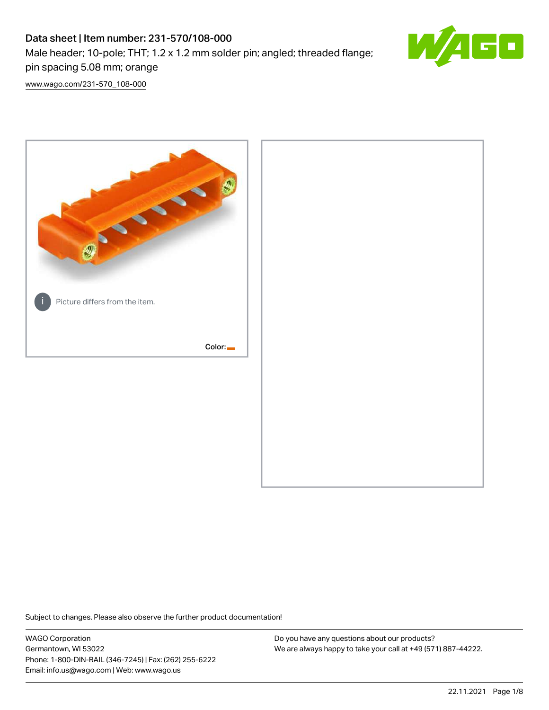# Data sheet | Item number: 231-570/108-000 Male header; 10-pole; THT; 1.2 x 1.2 mm solder pin; angled; threaded flange; pin spacing 5.08 mm; orange



[www.wago.com/231-570\\_108-000](http://www.wago.com/231-570_108-000)



Subject to changes. Please also observe the further product documentation!

WAGO Corporation Germantown, WI 53022 Phone: 1-800-DIN-RAIL (346-7245) | Fax: (262) 255-6222 Email: info.us@wago.com | Web: www.wago.us

Do you have any questions about our products? We are always happy to take your call at +49 (571) 887-44222.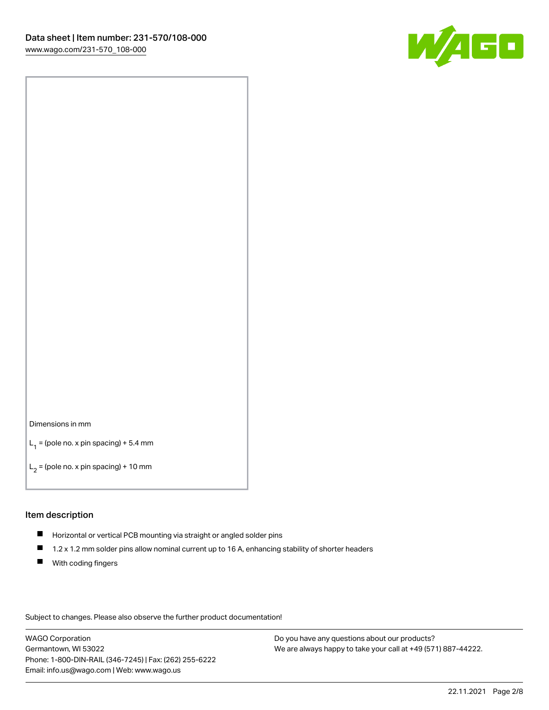

#### Dimensions in mm

 $L_1$  = (pole no. x pin spacing) + 5.4 mm

 $L_2$  = (pole no. x pin spacing) + 10 mm

### Item description

- Horizontal or vertical PCB mounting via straight or angled solder pins
- $\blacksquare$ 1.2 x 1.2 mm solder pins allow nominal current up to 16 A, enhancing stability of shorter headers
- **With coding fingers**

Subject to changes. Please also observe the further product documentation!

WAGO Corporation Germantown, WI 53022 Phone: 1-800-DIN-RAIL (346-7245) | Fax: (262) 255-6222 Email: info.us@wago.com | Web: www.wago.us

Do you have any questions about our products? We are always happy to take your call at +49 (571) 887-44222.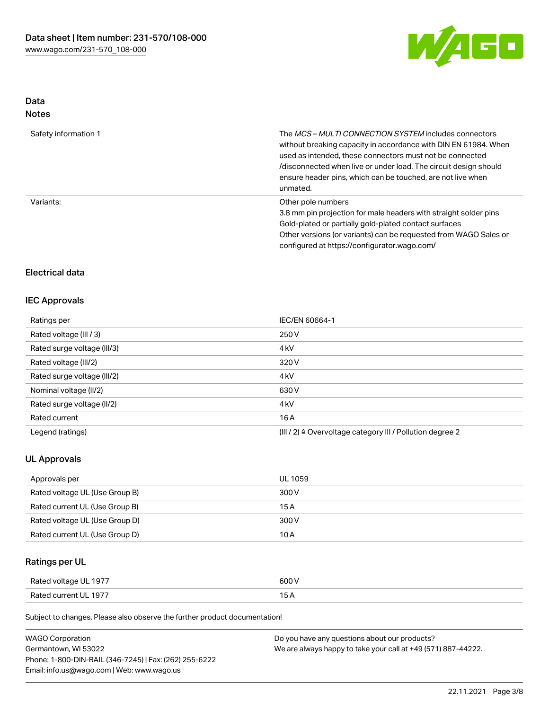

# Data Notes

| Safety information 1 | The <i>MCS – MULTI CONNECTION SYSTEM</i> includes connectors<br>without breaking capacity in accordance with DIN EN 61984. When<br>used as intended, these connectors must not be connected<br>/disconnected when live or under load. The circuit design should<br>ensure header pins, which can be touched, are not live when<br>unmated. |
|----------------------|--------------------------------------------------------------------------------------------------------------------------------------------------------------------------------------------------------------------------------------------------------------------------------------------------------------------------------------------|
| Variants:            | Other pole numbers<br>3.8 mm pin projection for male headers with straight solder pins<br>Gold-plated or partially gold-plated contact surfaces<br>Other versions (or variants) can be requested from WAGO Sales or<br>configured at https://configurator.wago.com/                                                                        |

# Electrical data

# IEC Approvals

| Ratings per                 | IEC/EN 60664-1                                            |
|-----------------------------|-----------------------------------------------------------|
| Rated voltage (III / 3)     | 250 V                                                     |
| Rated surge voltage (III/3) | 4 <sub>k</sub> V                                          |
| Rated voltage (III/2)       | 320 V                                                     |
| Rated surge voltage (III/2) | 4 <sub>k</sub> V                                          |
| Nominal voltage (II/2)      | 630 V                                                     |
| Rated surge voltage (II/2)  | 4 <sub>k</sub> V                                          |
| Rated current               | 16A                                                       |
| Legend (ratings)            | (III / 2) ≙ Overvoltage category III / Pollution degree 2 |

# UL Approvals

| Approvals per                  | UL 1059 |
|--------------------------------|---------|
| Rated voltage UL (Use Group B) | 300 V   |
| Rated current UL (Use Group B) | 15 A    |
| Rated voltage UL (Use Group D) | 300 V   |
| Rated current UL (Use Group D) | 10 A    |

# Ratings per UL

| Rated voltage UL 1977 | 500 V |
|-----------------------|-------|
| Rated current UL 1977 |       |

| <b>WAGO Corporation</b>                                | Do you have any questions about our products?                 |
|--------------------------------------------------------|---------------------------------------------------------------|
| Germantown, WI 53022                                   | We are always happy to take your call at +49 (571) 887-44222. |
| Phone: 1-800-DIN-RAIL (346-7245)   Fax: (262) 255-6222 |                                                               |
| Email: info.us@wago.com   Web: www.wago.us             |                                                               |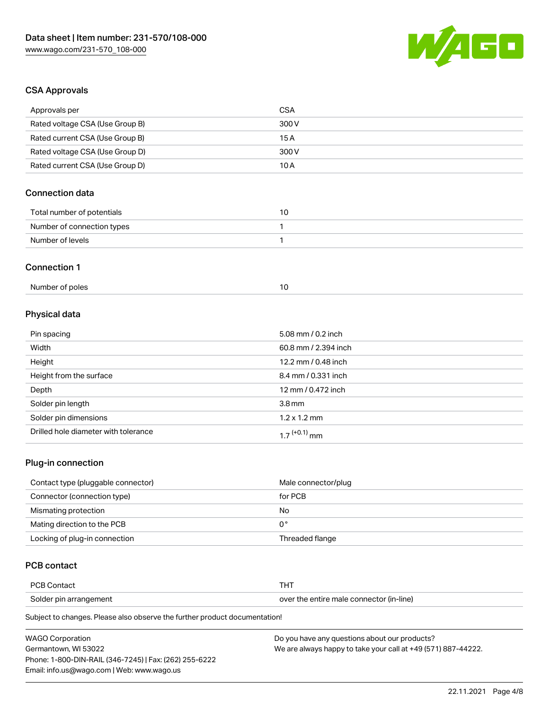

# CSA Approvals

| Approvals per                   | <b>CSA</b>           |
|---------------------------------|----------------------|
| Rated voltage CSA (Use Group B) | 300V                 |
| Rated current CSA (Use Group B) | 15A                  |
| Rated voltage CSA (Use Group D) | 300 V                |
| Rated current CSA (Use Group D) | 10A                  |
| <b>Connection data</b>          |                      |
| Total number of potentials      | 10                   |
| Number of connection types      | 1                    |
| Number of levels                | 1                    |
| <b>Connection 1</b>             |                      |
| Number of poles                 | 10                   |
| Physical data                   |                      |
| Pin spacing                     | 5.08 mm / 0.2 inch   |
| Width                           | 60.8 mm / 2.394 inch |
| Height                          | 12.2 mm / 0.48 inch  |
| Height from the surface         | 8.4 mm / 0.331 inch  |
| Depth                           | 12 mm / 0.472 inch   |
|                                 |                      |

| Solder pin length                    | 3.8 mm                   |
|--------------------------------------|--------------------------|
| Solder pin dimensions                | $1.2 \times 1.2$ mm      |
| Drilled hole diameter with tolerance | 1.7 <sup>(+0.1)</sup> mm |

# Plug-in connection

| Contact type (pluggable connector) | Male connector/plug |
|------------------------------------|---------------------|
| Connector (connection type)        | for PCB             |
| Mismating protection               | No                  |
| Mating direction to the PCB        | 0°                  |
| Locking of plug-in connection      | Threaded flange     |

# PCB contact

| <b>PCB Contact</b>     | 1 O I                                    |
|------------------------|------------------------------------------|
| Solder pin arrangement | over the entire male connector (in-line) |

| <b>WAGO Corporation</b>                                | Do you have any questions about our products?                 |
|--------------------------------------------------------|---------------------------------------------------------------|
| Germantown. WI 53022                                   | We are always happy to take your call at +49 (571) 887-44222. |
| Phone: 1-800-DIN-RAIL (346-7245)   Fax: (262) 255-6222 |                                                               |
| Email: info.us@wago.com   Web: www.wago.us             |                                                               |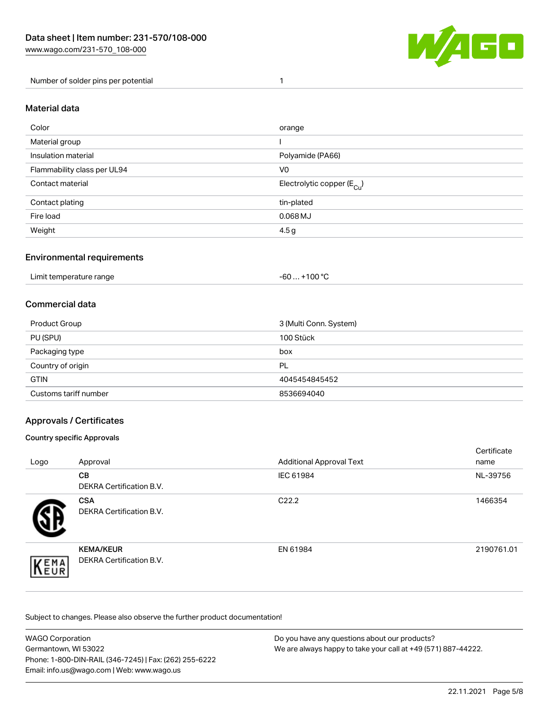

Number of solder pins per potential 1

# Material data

| Color                       | orange                                 |
|-----------------------------|----------------------------------------|
| Material group              |                                        |
| Insulation material         | Polyamide (PA66)                       |
| Flammability class per UL94 | V <sub>0</sub>                         |
| Contact material            | Electrolytic copper (E <sub>Cu</sub> ) |
| Contact plating             | tin-plated                             |
| Fire load                   | $0.068$ MJ                             |
| Weight                      | 4.5 <sub>g</sub>                       |

## Environmental requirements

Limit temperature range  $-60...+100 °C$ 

## Commercial data

| Product Group         | 3 (Multi Conn. System) |
|-----------------------|------------------------|
| PU (SPU)              | 100 Stück              |
| Packaging type        | box                    |
| Country of origin     | PL                     |
| <b>GTIN</b>           | 4045454845452          |
| Customs tariff number | 8536694040             |

## Approvals / Certificates

#### Country specific Approvals

| Logo                | Approval                                     | <b>Additional Approval Text</b> | Certificate<br>name |
|---------------------|----------------------------------------------|---------------------------------|---------------------|
|                     | <b>CB</b><br><b>DEKRA Certification B.V.</b> | IEC 61984                       | NL-39756            |
|                     | <b>CSA</b><br>DEKRA Certification B.V.       | C <sub>22.2</sub>               | 1466354             |
| EMA<br><b>INEUR</b> | <b>KEMA/KEUR</b><br>DEKRA Certification B.V. | EN 61984                        | 2190761.01          |

| <b>WAGO Corporation</b>                                | Do you have any questions about our products?                 |
|--------------------------------------------------------|---------------------------------------------------------------|
| Germantown, WI 53022                                   | We are always happy to take your call at +49 (571) 887-44222. |
| Phone: 1-800-DIN-RAIL (346-7245)   Fax: (262) 255-6222 |                                                               |
| Email: info.us@wago.com   Web: www.wago.us             |                                                               |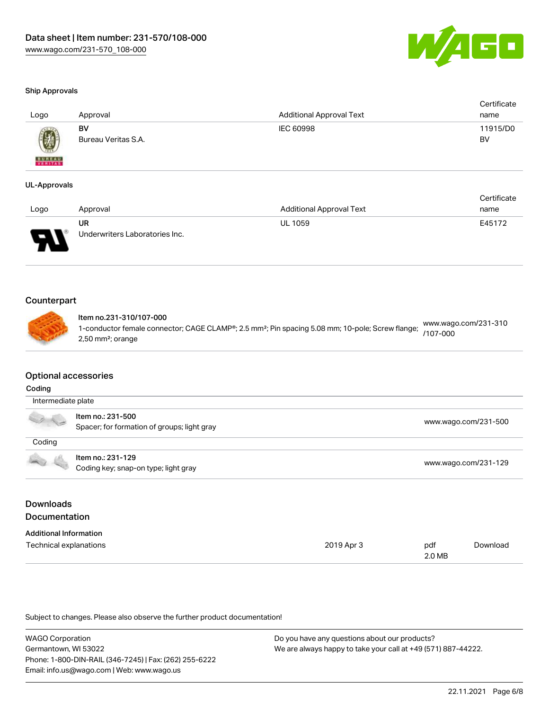

#### Ship Approvals

| Logo          | Approval            | <b>Additional Approval Text</b> | Certificate<br>name |
|---------------|---------------------|---------------------------------|---------------------|
|               | BV                  | IEC 60998                       | 11915/D0            |
| <b>BUREAU</b> | Bureau Veritas S.A. |                                 | BV                  |

#### UL-Approvals

|      |                                |                                 | Certificate |
|------|--------------------------------|---------------------------------|-------------|
| Logo | Approval                       | <b>Additional Approval Text</b> | name        |
|      | UR                             | <b>UL 1059</b>                  | E45172      |
| J    | Underwriters Laboratories Inc. |                                 |             |

# **Counterpart**

# Item no.231-310/107-000

1-conductor female connector; CAGE CLAMP®; 2.5 mm²; Pin spacing 5.08 mm; 10-pole; Screw flange; 2,50 mm²; orange [www.wago.com/231-310](https://www.wago.com/231-310/107-000) [/107-000](https://www.wago.com/231-310/107-000)

## Optional accessories

#### Coding

| Intermediate plate |                                                                  |                      |  |
|--------------------|------------------------------------------------------------------|----------------------|--|
| A. Ja              | ltem no.: 231-500<br>Spacer; for formation of groups; light gray | www.wago.com/231-500 |  |
| Coding             |                                                                  |                      |  |
| <b>COLLEGE</b>     | Item no.: 231-129<br>Coding key; snap-on type; light gray        | www.wago.com/231-129 |  |

# Downloads Documentation

| <b>Additional Information</b> |            |        |          |
|-------------------------------|------------|--------|----------|
| Technical explanations        | 2019 Apr 3 | pdf    | Download |
|                               |            | 2.0 MB |          |

| <b>WAGO Corporation</b>                                | Do you have any questions about our products?                 |
|--------------------------------------------------------|---------------------------------------------------------------|
| Germantown, WI 53022                                   | We are always happy to take your call at +49 (571) 887-44222. |
| Phone: 1-800-DIN-RAIL (346-7245)   Fax: (262) 255-6222 |                                                               |
| Email: info.us@wago.com   Web: www.wago.us             |                                                               |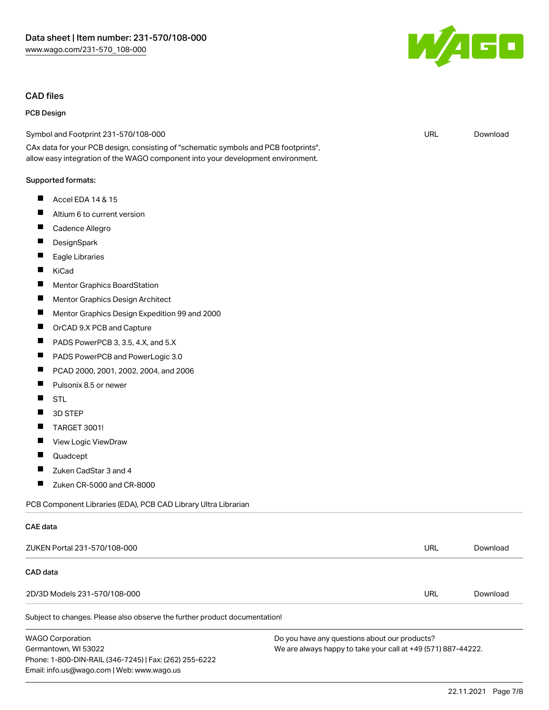### CAD files

### PCB Design

Symbol and Footprint 231-570/108-000

CAx data for your PCB design, consisting of "schematic symbols and PCB footprints", allow easy integration of the WAGO component into your development environment.

#### Supported formats:

- $\blacksquare$ Accel EDA 14 & 15
- $\blacksquare$ Altium 6 to current version
- $\blacksquare$ Cadence Allegro
- $\blacksquare$ **DesignSpark**
- $\blacksquare$ Eagle Libraries
- $\blacksquare$ KiCad
- $\blacksquare$ Mentor Graphics BoardStation
- $\blacksquare$ Mentor Graphics Design Architect
- $\blacksquare$ Mentor Graphics Design Expedition 99 and 2000
- $\blacksquare$ OrCAD 9.X PCB and Capture
- $\blacksquare$ PADS PowerPCB 3, 3.5, 4.X, and 5.X
- $\blacksquare$ PADS PowerPCB and PowerLogic 3.0
- $\blacksquare$ PCAD 2000, 2001, 2002, 2004, and 2006
- $\blacksquare$ Pulsonix 8.5 or newer
- $\blacksquare$ STL
- $\blacksquare$ 3D STEP
- $\blacksquare$ TARGET 3001!
- П View Logic ViewDraw
- $\blacksquare$ Quadcept

CAE data

- $\blacksquare$ Zuken CadStar 3 and 4
- $\blacksquare$ Zuken CR-5000 and CR-8000

Email: info.us@wago.com | Web: www.wago.us

PCB Component Libraries (EDA), PCB CAD Library Ultra Librarian

| ZUKEN Portal 231-570/108-000                                               |                                                               | URL | Download |
|----------------------------------------------------------------------------|---------------------------------------------------------------|-----|----------|
| CAD data                                                                   |                                                               |     |          |
| 2D/3D Models 231-570/108-000                                               |                                                               | URL | Download |
| Subject to changes. Please also observe the further product documentation! |                                                               |     |          |
| <b>WAGO Corporation</b>                                                    | Do you have any questions about our products?                 |     |          |
| Germantown, WI 53022                                                       | We are always happy to take your call at +49 (571) 887-44222. |     |          |
| Phone: 1-800-DIN-RAIL (346-7245)   Fax: (262) 255-6222                     |                                                               |     |          |

URL [Download](https://www.wago.com/global/d/UltraLibrarian_URLS_231-570_108-000)